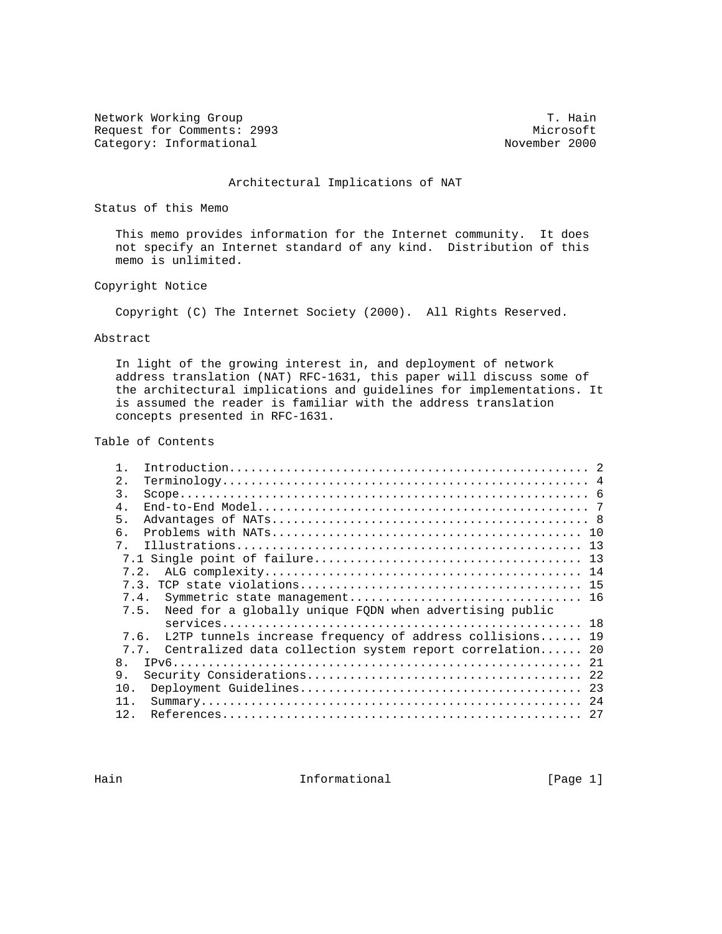Network Working Group T. Hain Request for Comments: 2993 Microsoft Microsoft Microsoft Microsoft Microsoft Microsoft Microsoft Microsoft Microsoft Microsoft Microsoft Microsoft Microsoft Microsoft Microsoft Microsoft Microsoft Microsoft Microsoft Micro Category: Informational

## Architectural Implications of NAT

Status of this Memo

 This memo provides information for the Internet community. It does not specify an Internet standard of any kind. Distribution of this memo is unlimited.

# Copyright Notice

Copyright (C) The Internet Society (2000). All Rights Reserved.

# Abstract

 In light of the growing interest in, and deployment of network address translation (NAT) RFC-1631, this paper will discuss some of the architectural implications and guidelines for implementations. It is assumed the reader is familiar with the address translation concepts presented in RFC-1631.

#### Table of Contents

| 2.                                                               |  |
|------------------------------------------------------------------|--|
| 3.                                                               |  |
| $4$ .                                                            |  |
| 5.                                                               |  |
| 6.                                                               |  |
| $7^{\circ}$                                                      |  |
|                                                                  |  |
|                                                                  |  |
|                                                                  |  |
| 7.4.                                                             |  |
| Need for a globally unique FQDN when advertising public<br>7.5.  |  |
|                                                                  |  |
| L2TP tunnels increase frequency of address collisions 19<br>7.6. |  |
| Centralized data collection system report correlation 20<br>7.7. |  |
| 8 <sub>1</sub>                                                   |  |
| 9.                                                               |  |
| 10.                                                              |  |
| 11                                                               |  |
| 12.                                                              |  |

Hain **Informational Informational Example 1** [Page 1]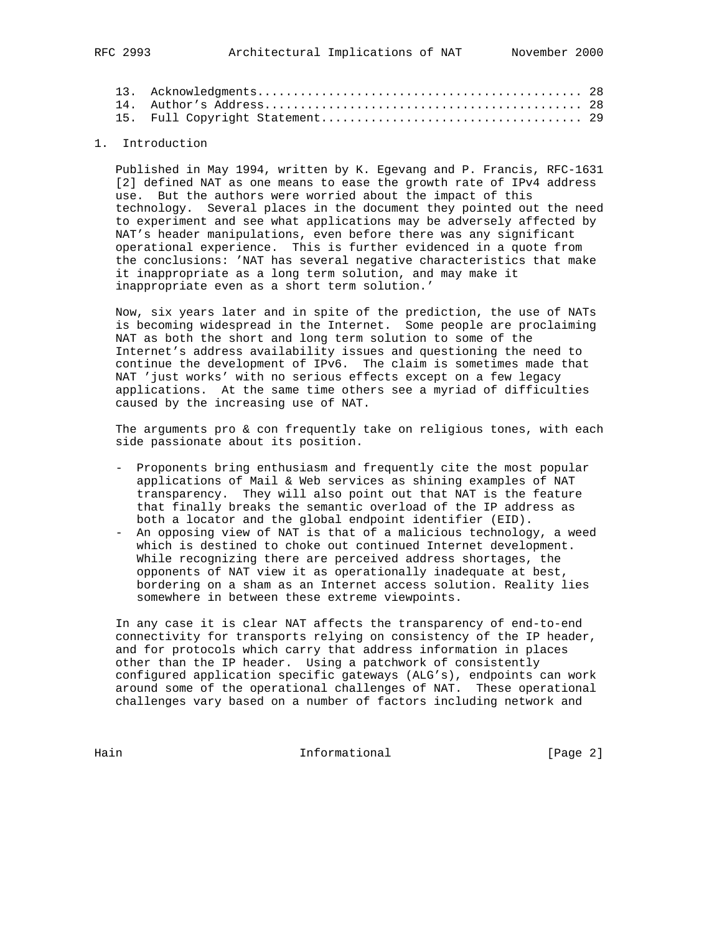# 1. Introduction

 Published in May 1994, written by K. Egevang and P. Francis, RFC-1631 [2] defined NAT as one means to ease the growth rate of IPv4 address use. But the authors were worried about the impact of this technology. Several places in the document they pointed out the need to experiment and see what applications may be adversely affected by NAT's header manipulations, even before there was any significant operational experience. This is further evidenced in a quote from the conclusions: 'NAT has several negative characteristics that make it inappropriate as a long term solution, and may make it inappropriate even as a short term solution.'

 Now, six years later and in spite of the prediction, the use of NATs is becoming widespread in the Internet. Some people are proclaiming NAT as both the short and long term solution to some of the Internet's address availability issues and questioning the need to continue the development of IPv6. The claim is sometimes made that NAT 'just works' with no serious effects except on a few legacy applications. At the same time others see a myriad of difficulties caused by the increasing use of NAT.

 The arguments pro & con frequently take on religious tones, with each side passionate about its position.

- Proponents bring enthusiasm and frequently cite the most popular applications of Mail & Web services as shining examples of NAT transparency. They will also point out that NAT is the feature that finally breaks the semantic overload of the IP address as both a locator and the global endpoint identifier (EID).
- An opposing view of NAT is that of a malicious technology, a weed which is destined to choke out continued Internet development. While recognizing there are perceived address shortages, the opponents of NAT view it as operationally inadequate at best, bordering on a sham as an Internet access solution. Reality lies somewhere in between these extreme viewpoints.

 In any case it is clear NAT affects the transparency of end-to-end connectivity for transports relying on consistency of the IP header, and for protocols which carry that address information in places other than the IP header. Using a patchwork of consistently configured application specific gateways (ALG's), endpoints can work around some of the operational challenges of NAT. These operational challenges vary based on a number of factors including network and

Hain Informational [Page 2]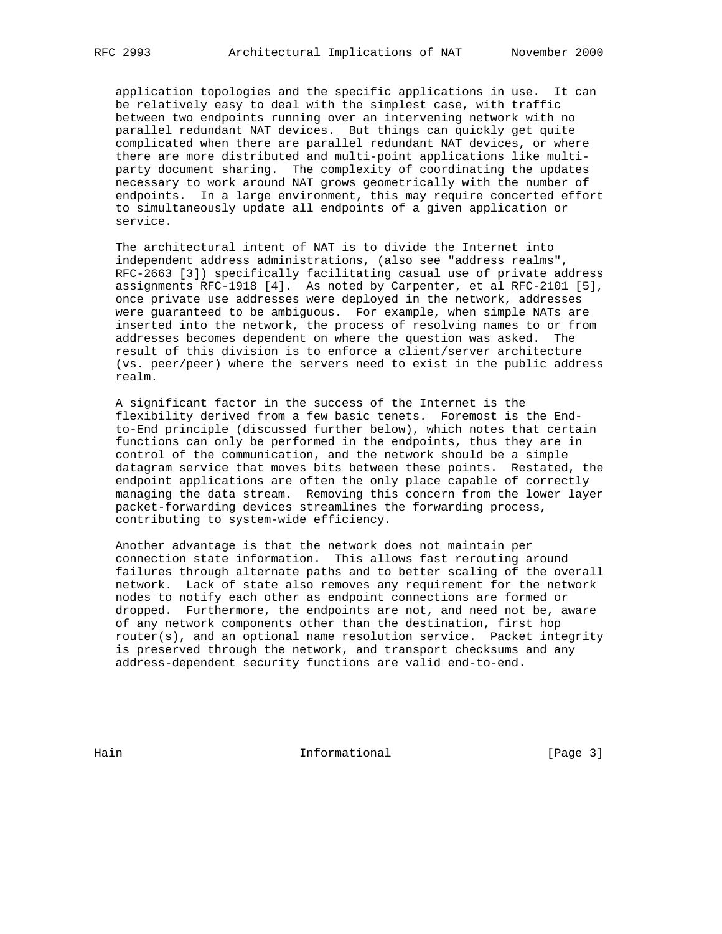application topologies and the specific applications in use. It can be relatively easy to deal with the simplest case, with traffic between two endpoints running over an intervening network with no parallel redundant NAT devices. But things can quickly get quite complicated when there are parallel redundant NAT devices, or where there are more distributed and multi-point applications like multi party document sharing. The complexity of coordinating the updates necessary to work around NAT grows geometrically with the number of endpoints. In a large environment, this may require concerted effort to simultaneously update all endpoints of a given application or service.

 The architectural intent of NAT is to divide the Internet into independent address administrations, (also see "address realms", RFC-2663 [3]) specifically facilitating casual use of private address assignments RFC-1918 [4]. As noted by Carpenter, et al RFC-2101 [5], once private use addresses were deployed in the network, addresses were guaranteed to be ambiguous. For example, when simple NATs are inserted into the network, the process of resolving names to or from addresses becomes dependent on where the question was asked. The result of this division is to enforce a client/server architecture (vs. peer/peer) where the servers need to exist in the public address realm.

 A significant factor in the success of the Internet is the flexibility derived from a few basic tenets. Foremost is the End to-End principle (discussed further below), which notes that certain functions can only be performed in the endpoints, thus they are in control of the communication, and the network should be a simple datagram service that moves bits between these points. Restated, the endpoint applications are often the only place capable of correctly managing the data stream. Removing this concern from the lower layer packet-forwarding devices streamlines the forwarding process, contributing to system-wide efficiency.

 Another advantage is that the network does not maintain per connection state information. This allows fast rerouting around failures through alternate paths and to better scaling of the overall network. Lack of state also removes any requirement for the network nodes to notify each other as endpoint connections are formed or dropped. Furthermore, the endpoints are not, and need not be, aware of any network components other than the destination, first hop router(s), and an optional name resolution service. Packet integrity is preserved through the network, and transport checksums and any address-dependent security functions are valid end-to-end.

Hain **Informational** Informational [Page 3]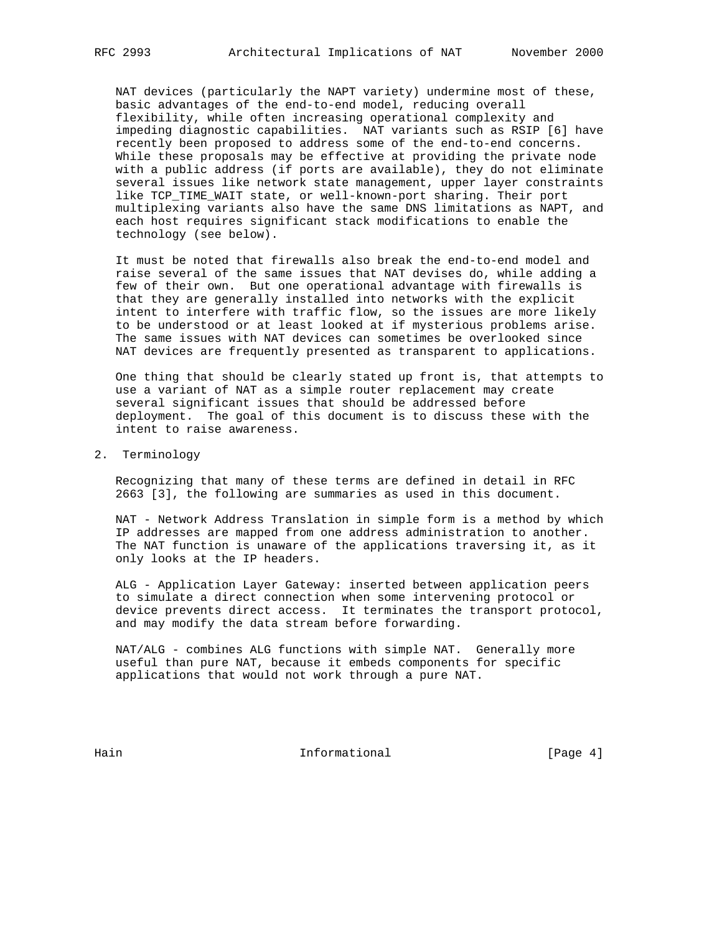NAT devices (particularly the NAPT variety) undermine most of these, basic advantages of the end-to-end model, reducing overall flexibility, while often increasing operational complexity and impeding diagnostic capabilities. NAT variants such as RSIP [6] have recently been proposed to address some of the end-to-end concerns. While these proposals may be effective at providing the private node with a public address (if ports are available), they do not eliminate several issues like network state management, upper layer constraints like TCP\_TIME\_WAIT state, or well-known-port sharing. Their port multiplexing variants also have the same DNS limitations as NAPT, and each host requires significant stack modifications to enable the technology (see below).

 It must be noted that firewalls also break the end-to-end model and raise several of the same issues that NAT devises do, while adding a few of their own. But one operational advantage with firewalls is that they are generally installed into networks with the explicit intent to interfere with traffic flow, so the issues are more likely to be understood or at least looked at if mysterious problems arise. The same issues with NAT devices can sometimes be overlooked since NAT devices are frequently presented as transparent to applications.

 One thing that should be clearly stated up front is, that attempts to use a variant of NAT as a simple router replacement may create several significant issues that should be addressed before deployment. The goal of this document is to discuss these with the intent to raise awareness.

2. Terminology

 Recognizing that many of these terms are defined in detail in RFC 2663 [3], the following are summaries as used in this document.

 NAT - Network Address Translation in simple form is a method by which IP addresses are mapped from one address administration to another. The NAT function is unaware of the applications traversing it, as it only looks at the IP headers.

 ALG - Application Layer Gateway: inserted between application peers to simulate a direct connection when some intervening protocol or device prevents direct access. It terminates the transport protocol, and may modify the data stream before forwarding.

 NAT/ALG - combines ALG functions with simple NAT. Generally more useful than pure NAT, because it embeds components for specific applications that would not work through a pure NAT.

Hain **Informational Informational Example 1** [Page 4]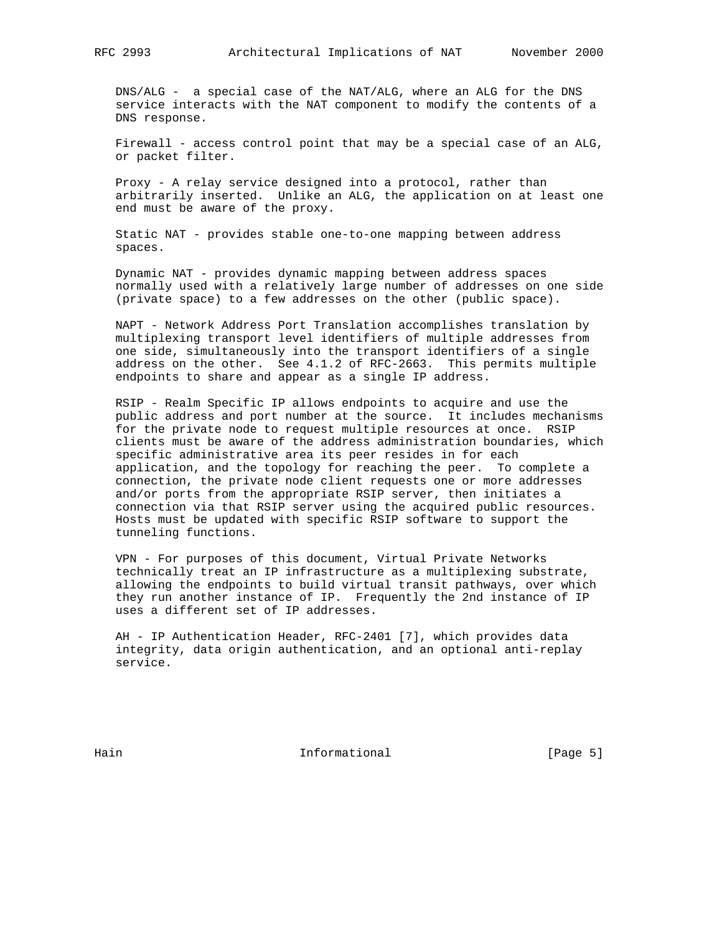DNS/ALG - a special case of the NAT/ALG, where an ALG for the DNS service interacts with the NAT component to modify the contents of a DNS response.

 Firewall - access control point that may be a special case of an ALG, or packet filter.

 Proxy - A relay service designed into a protocol, rather than arbitrarily inserted. Unlike an ALG, the application on at least one end must be aware of the proxy.

 Static NAT - provides stable one-to-one mapping between address spaces.

 Dynamic NAT - provides dynamic mapping between address spaces normally used with a relatively large number of addresses on one side (private space) to a few addresses on the other (public space).

 NAPT - Network Address Port Translation accomplishes translation by multiplexing transport level identifiers of multiple addresses from one side, simultaneously into the transport identifiers of a single address on the other. See 4.1.2 of RFC-2663. This permits multiple endpoints to share and appear as a single IP address.

 RSIP - Realm Specific IP allows endpoints to acquire and use the public address and port number at the source. It includes mechanisms for the private node to request multiple resources at once. RSIP clients must be aware of the address administration boundaries, which specific administrative area its peer resides in for each application, and the topology for reaching the peer. To complete a connection, the private node client requests one or more addresses and/or ports from the appropriate RSIP server, then initiates a connection via that RSIP server using the acquired public resources. Hosts must be updated with specific RSIP software to support the tunneling functions.

 VPN - For purposes of this document, Virtual Private Networks technically treat an IP infrastructure as a multiplexing substrate, allowing the endpoints to build virtual transit pathways, over which they run another instance of IP. Frequently the 2nd instance of IP uses a different set of IP addresses.

 AH - IP Authentication Header, RFC-2401 [7], which provides data integrity, data origin authentication, and an optional anti-replay service.

Hain **Informational** Informational [Page 5]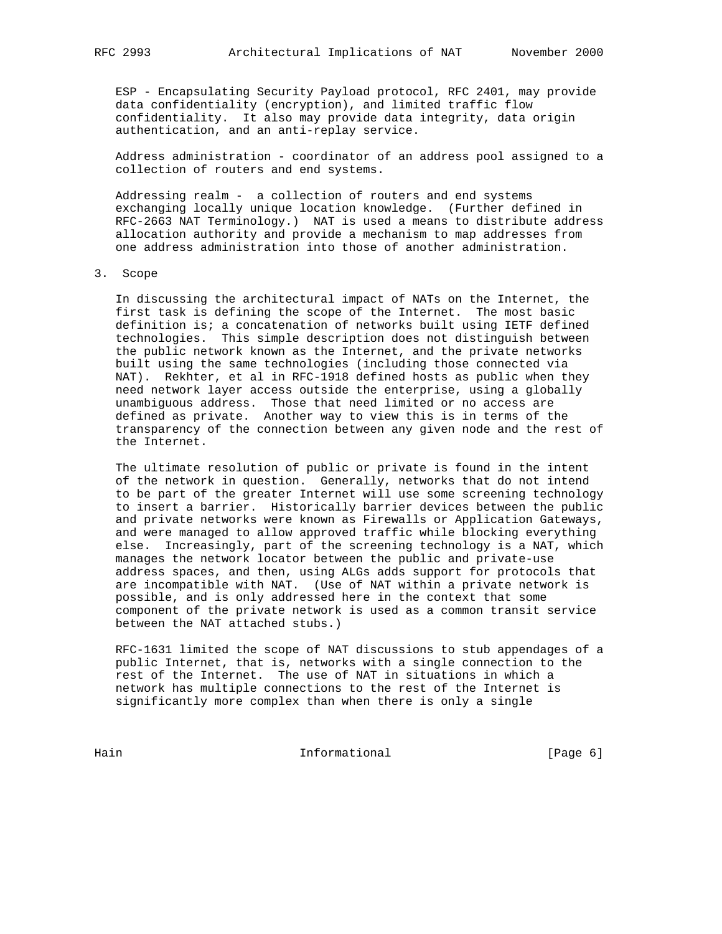ESP - Encapsulating Security Payload protocol, RFC 2401, may provide data confidentiality (encryption), and limited traffic flow confidentiality. It also may provide data integrity, data origin authentication, and an anti-replay service.

 Address administration - coordinator of an address pool assigned to a collection of routers and end systems.

 Addressing realm - a collection of routers and end systems exchanging locally unique location knowledge. (Further defined in RFC-2663 NAT Terminology.) NAT is used a means to distribute address allocation authority and provide a mechanism to map addresses from one address administration into those of another administration.

# 3. Scope

 In discussing the architectural impact of NATs on the Internet, the first task is defining the scope of the Internet. The most basic definition is; a concatenation of networks built using IETF defined technologies. This simple description does not distinguish between the public network known as the Internet, and the private networks built using the same technologies (including those connected via NAT). Rekhter, et al in RFC-1918 defined hosts as public when they need network layer access outside the enterprise, using a globally unambiguous address. Those that need limited or no access are defined as private. Another way to view this is in terms of the transparency of the connection between any given node and the rest of the Internet.

 The ultimate resolution of public or private is found in the intent of the network in question. Generally, networks that do not intend to be part of the greater Internet will use some screening technology to insert a barrier. Historically barrier devices between the public and private networks were known as Firewalls or Application Gateways, and were managed to allow approved traffic while blocking everything else. Increasingly, part of the screening technology is a NAT, which manages the network locator between the public and private-use address spaces, and then, using ALGs adds support for protocols that are incompatible with NAT. (Use of NAT within a private network is possible, and is only addressed here in the context that some component of the private network is used as a common transit service between the NAT attached stubs.)

 RFC-1631 limited the scope of NAT discussions to stub appendages of a public Internet, that is, networks with a single connection to the rest of the Internet. The use of NAT in situations in which a network has multiple connections to the rest of the Internet is significantly more complex than when there is only a single

Hain Informational [Page 6]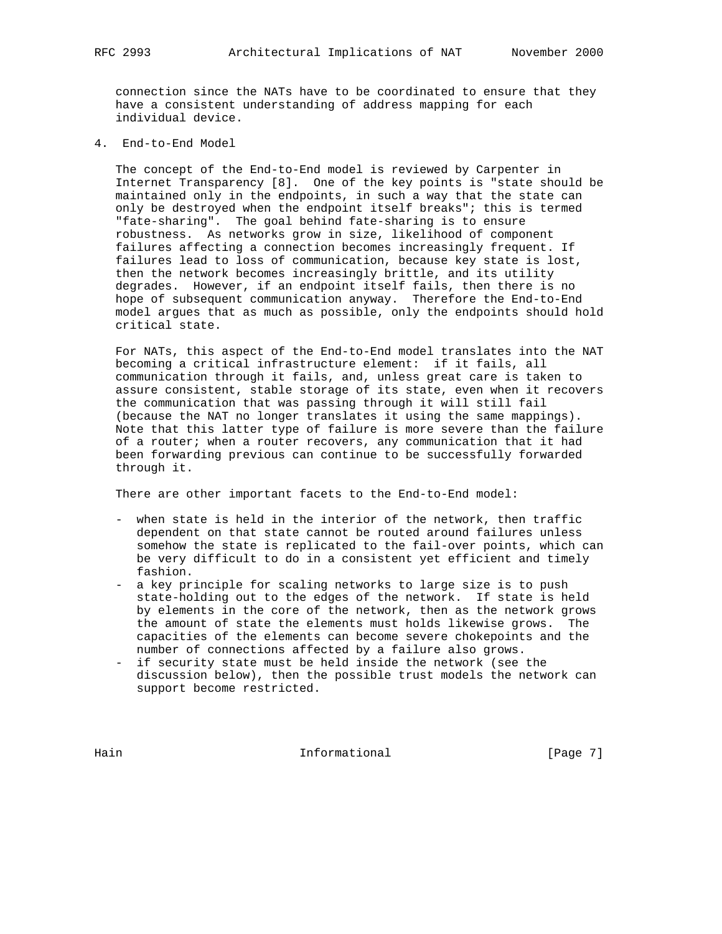connection since the NATs have to be coordinated to ensure that they have a consistent understanding of address mapping for each individual device.

4. End-to-End Model

 The concept of the End-to-End model is reviewed by Carpenter in Internet Transparency [8]. One of the key points is "state should be maintained only in the endpoints, in such a way that the state can only be destroyed when the endpoint itself breaks"; this is termed "fate-sharing". The goal behind fate-sharing is to ensure robustness. As networks grow in size, likelihood of component failures affecting a connection becomes increasingly frequent. If failures lead to loss of communication, because key state is lost, then the network becomes increasingly brittle, and its utility degrades. However, if an endpoint itself fails, then there is no hope of subsequent communication anyway. Therefore the End-to-End model argues that as much as possible, only the endpoints should hold critical state.

 For NATs, this aspect of the End-to-End model translates into the NAT becoming a critical infrastructure element: if it fails, all communication through it fails, and, unless great care is taken to assure consistent, stable storage of its state, even when it recovers the communication that was passing through it will still fail (because the NAT no longer translates it using the same mappings). Note that this latter type of failure is more severe than the failure of a router; when a router recovers, any communication that it had been forwarding previous can continue to be successfully forwarded through it.

There are other important facets to the End-to-End model:

- when state is held in the interior of the network, then traffic dependent on that state cannot be routed around failures unless somehow the state is replicated to the fail-over points, which can be very difficult to do in a consistent yet efficient and timely fashion.
- a key principle for scaling networks to large size is to push state-holding out to the edges of the network. If state is held by elements in the core of the network, then as the network grows the amount of state the elements must holds likewise grows. The capacities of the elements can become severe chokepoints and the number of connections affected by a failure also grows.
- if security state must be held inside the network (see the discussion below), then the possible trust models the network can support become restricted.

Hain **Informational** Informational [Page 7]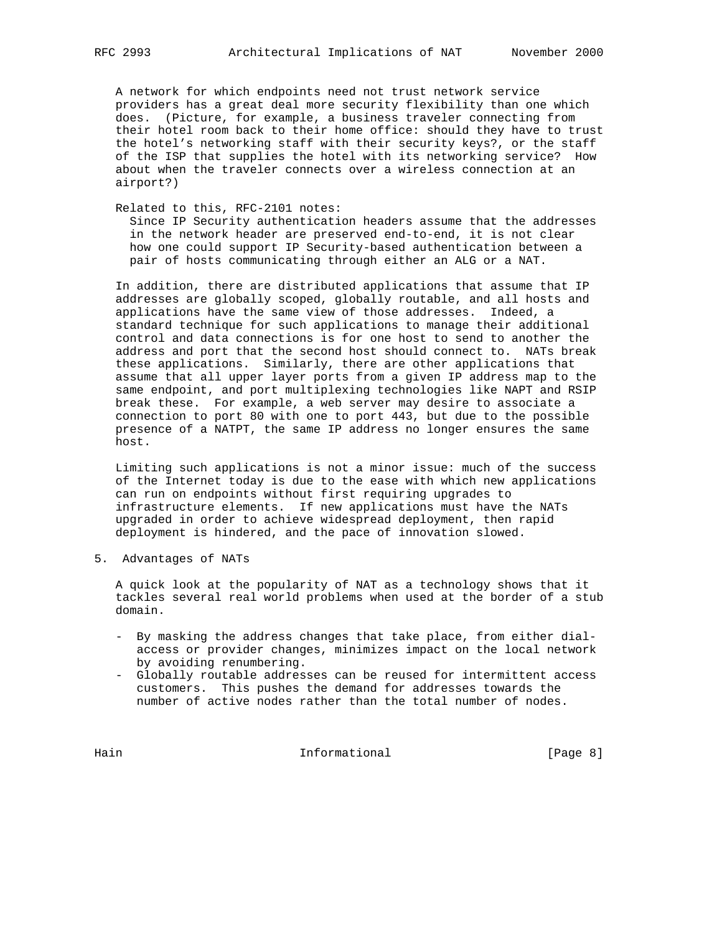A network for which endpoints need not trust network service providers has a great deal more security flexibility than one which does. (Picture, for example, a business traveler connecting from their hotel room back to their home office: should they have to trust the hotel's networking staff with their security keys?, or the staff of the ISP that supplies the hotel with its networking service? How about when the traveler connects over a wireless connection at an airport?)

Related to this, RFC-2101 notes:

 Since IP Security authentication headers assume that the addresses in the network header are preserved end-to-end, it is not clear how one could support IP Security-based authentication between a pair of hosts communicating through either an ALG or a NAT.

 In addition, there are distributed applications that assume that IP addresses are globally scoped, globally routable, and all hosts and applications have the same view of those addresses. Indeed, a standard technique for such applications to manage their additional control and data connections is for one host to send to another the address and port that the second host should connect to. NATs break these applications. Similarly, there are other applications that assume that all upper layer ports from a given IP address map to the same endpoint, and port multiplexing technologies like NAPT and RSIP break these. For example, a web server may desire to associate a connection to port 80 with one to port 443, but due to the possible presence of a NATPT, the same IP address no longer ensures the same host.

 Limiting such applications is not a minor issue: much of the success of the Internet today is due to the ease with which new applications can run on endpoints without first requiring upgrades to infrastructure elements. If new applications must have the NATs upgraded in order to achieve widespread deployment, then rapid deployment is hindered, and the pace of innovation slowed.

5. Advantages of NATs

 A quick look at the popularity of NAT as a technology shows that it tackles several real world problems when used at the border of a stub domain.

- By masking the address changes that take place, from either dial access or provider changes, minimizes impact on the local network by avoiding renumbering.
- Globally routable addresses can be reused for intermittent access customers. This pushes the demand for addresses towards the number of active nodes rather than the total number of nodes.

Hain Informational [Page 8]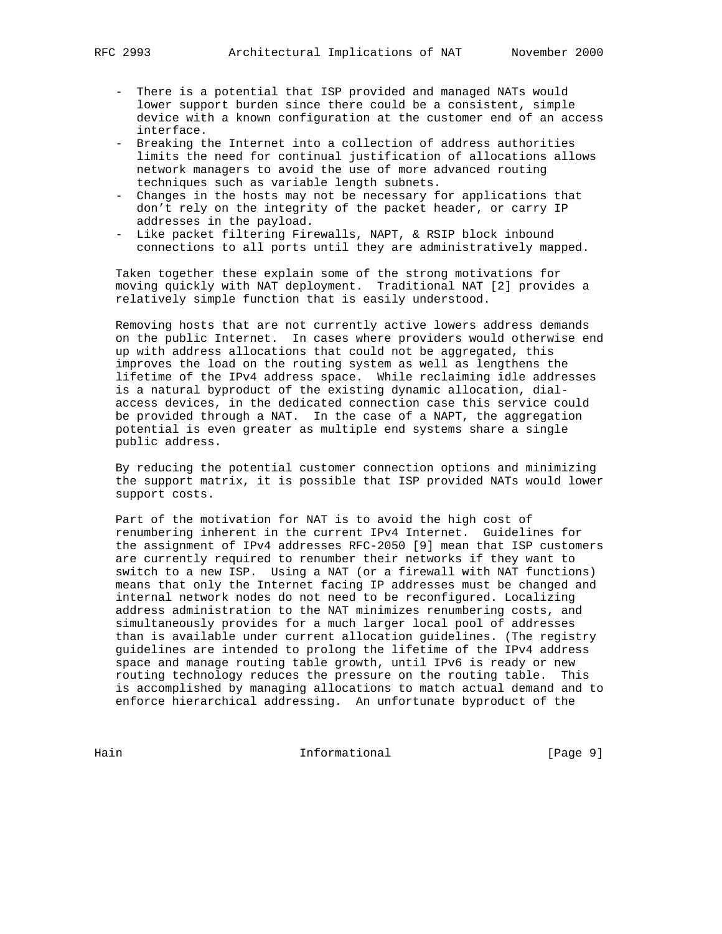- There is a potential that ISP provided and managed NATs would lower support burden since there could be a consistent, simple device with a known configuration at the customer end of an access interface.
- Breaking the Internet into a collection of address authorities limits the need for continual justification of allocations allows network managers to avoid the use of more advanced routing techniques such as variable length subnets.
- Changes in the hosts may not be necessary for applications that don't rely on the integrity of the packet header, or carry IP addresses in the payload.
- Like packet filtering Firewalls, NAPT, & RSIP block inbound connections to all ports until they are administratively mapped.

 Taken together these explain some of the strong motivations for moving quickly with NAT deployment. Traditional NAT [2] provides a relatively simple function that is easily understood.

 Removing hosts that are not currently active lowers address demands on the public Internet. In cases where providers would otherwise end up with address allocations that could not be aggregated, this improves the load on the routing system as well as lengthens the lifetime of the IPv4 address space. While reclaiming idle addresses is a natural byproduct of the existing dynamic allocation, dial access devices, in the dedicated connection case this service could be provided through a NAT. In the case of a NAPT, the aggregation potential is even greater as multiple end systems share a single public address.

 By reducing the potential customer connection options and minimizing the support matrix, it is possible that ISP provided NATs would lower support costs.

 Part of the motivation for NAT is to avoid the high cost of renumbering inherent in the current IPv4 Internet. Guidelines for the assignment of IPv4 addresses RFC-2050 [9] mean that ISP customers are currently required to renumber their networks if they want to switch to a new ISP. Using a NAT (or a firewall with NAT functions) means that only the Internet facing IP addresses must be changed and internal network nodes do not need to be reconfigured. Localizing address administration to the NAT minimizes renumbering costs, and simultaneously provides for a much larger local pool of addresses than is available under current allocation guidelines. (The registry guidelines are intended to prolong the lifetime of the IPv4 address space and manage routing table growth, until IPv6 is ready or new routing technology reduces the pressure on the routing table. This is accomplished by managing allocations to match actual demand and to enforce hierarchical addressing. An unfortunate byproduct of the

Hain Informational [Page 9]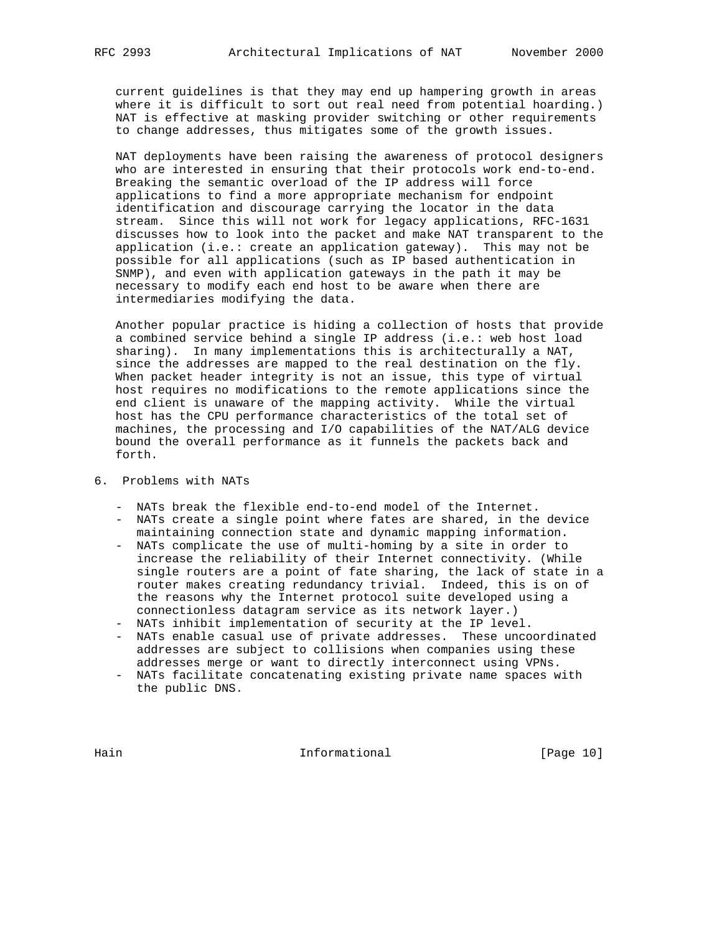current guidelines is that they may end up hampering growth in areas where it is difficult to sort out real need from potential hoarding.) NAT is effective at masking provider switching or other requirements to change addresses, thus mitigates some of the growth issues.

 NAT deployments have been raising the awareness of protocol designers who are interested in ensuring that their protocols work end-to-end. Breaking the semantic overload of the IP address will force applications to find a more appropriate mechanism for endpoint identification and discourage carrying the locator in the data stream. Since this will not work for legacy applications, RFC-1631 discusses how to look into the packet and make NAT transparent to the application (i.e.: create an application gateway). This may not be possible for all applications (such as IP based authentication in SNMP), and even with application gateways in the path it may be necessary to modify each end host to be aware when there are intermediaries modifying the data.

 Another popular practice is hiding a collection of hosts that provide a combined service behind a single IP address (i.e.: web host load sharing). In many implementations this is architecturally a NAT, since the addresses are mapped to the real destination on the fly. When packet header integrity is not an issue, this type of virtual host requires no modifications to the remote applications since the end client is unaware of the mapping activity. While the virtual host has the CPU performance characteristics of the total set of machines, the processing and I/O capabilities of the NAT/ALG device bound the overall performance as it funnels the packets back and forth.

# 6. Problems with NATs

- NATs break the flexible end-to-end model of the Internet.
- NATs create a single point where fates are shared, in the device maintaining connection state and dynamic mapping information.
- NATs complicate the use of multi-homing by a site in order to increase the reliability of their Internet connectivity. (While single routers are a point of fate sharing, the lack of state in a router makes creating redundancy trivial. Indeed, this is on of the reasons why the Internet protocol suite developed using a connectionless datagram service as its network layer.)
- NATs inhibit implementation of security at the IP level.
- NATs enable casual use of private addresses. These uncoordinated addresses are subject to collisions when companies using these addresses merge or want to directly interconnect using VPNs.
- NATs facilitate concatenating existing private name spaces with the public DNS.

Hain **Informational Informational** [Page 10]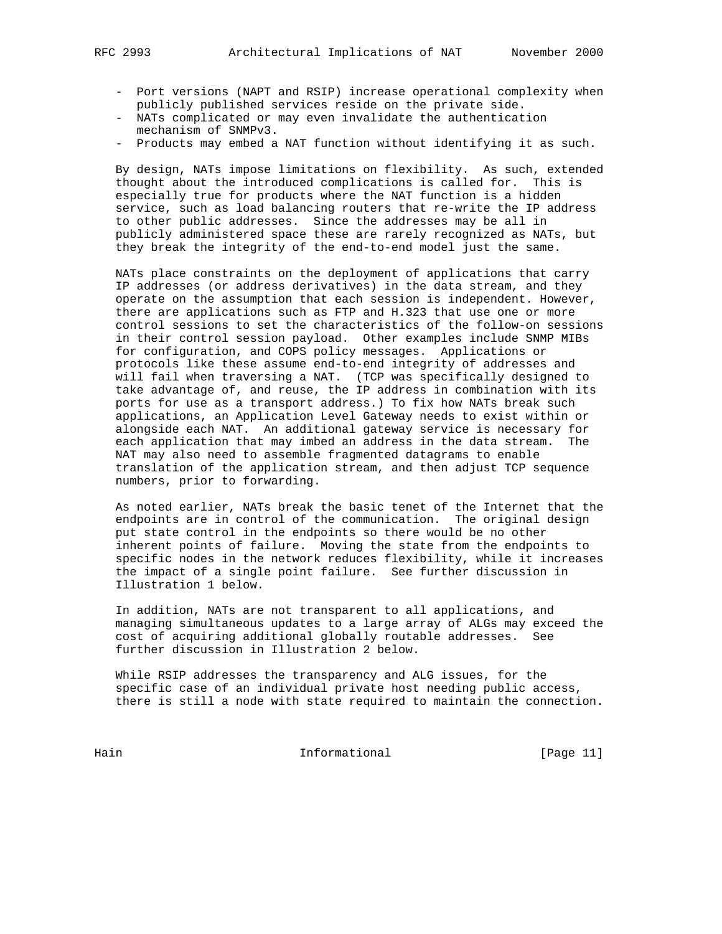- 
- Port versions (NAPT and RSIP) increase operational complexity when publicly published services reside on the private side.
- NATs complicated or may even invalidate the authentication mechanism of SNMPv3.
- Products may embed a NAT function without identifying it as such.

 By design, NATs impose limitations on flexibility. As such, extended thought about the introduced complications is called for. This is especially true for products where the NAT function is a hidden service, such as load balancing routers that re-write the IP address to other public addresses. Since the addresses may be all in publicly administered space these are rarely recognized as NATs, but they break the integrity of the end-to-end model just the same.

 NATs place constraints on the deployment of applications that carry IP addresses (or address derivatives) in the data stream, and they operate on the assumption that each session is independent. However, there are applications such as FTP and H.323 that use one or more control sessions to set the characteristics of the follow-on sessions in their control session payload. Other examples include SNMP MIBs for configuration, and COPS policy messages. Applications or protocols like these assume end-to-end integrity of addresses and will fail when traversing a NAT. (TCP was specifically designed to take advantage of, and reuse, the IP address in combination with its ports for use as a transport address.) To fix how NATs break such applications, an Application Level Gateway needs to exist within or alongside each NAT. An additional gateway service is necessary for each application that may imbed an address in the data stream. The NAT may also need to assemble fragmented datagrams to enable translation of the application stream, and then adjust TCP sequence numbers, prior to forwarding.

 As noted earlier, NATs break the basic tenet of the Internet that the endpoints are in control of the communication. The original design put state control in the endpoints so there would be no other inherent points of failure. Moving the state from the endpoints to specific nodes in the network reduces flexibility, while it increases the impact of a single point failure. See further discussion in Illustration 1 below.

 In addition, NATs are not transparent to all applications, and managing simultaneous updates to a large array of ALGs may exceed the cost of acquiring additional globally routable addresses. See further discussion in Illustration 2 below.

 While RSIP addresses the transparency and ALG issues, for the specific case of an individual private host needing public access, there is still a node with state required to maintain the connection.

Hain Informational [Page 11]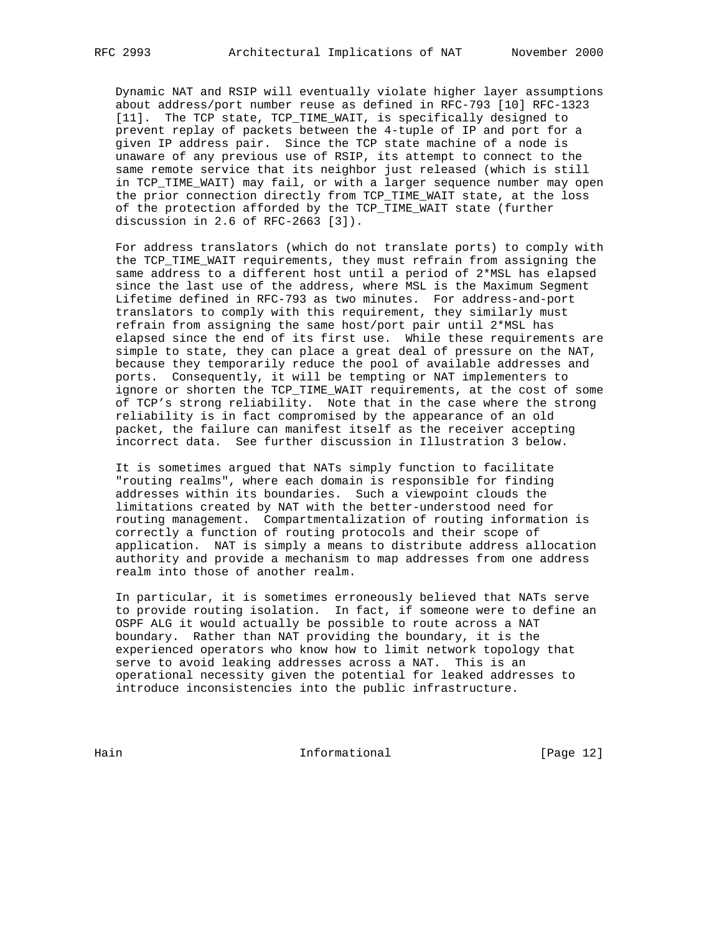Dynamic NAT and RSIP will eventually violate higher layer assumptions about address/port number reuse as defined in RFC-793 [10] RFC-1323 [11]. The TCP state, TCP\_TIME\_WAIT, is specifically designed to prevent replay of packets between the 4-tuple of IP and port for a given IP address pair. Since the TCP state machine of a node is unaware of any previous use of RSIP, its attempt to connect to the same remote service that its neighbor just released (which is still in TCP\_TIME\_WAIT) may fail, or with a larger sequence number may open the prior connection directly from TCP\_TIME\_WAIT state, at the loss of the protection afforded by the TCP\_TIME\_WAIT state (further discussion in 2.6 of RFC-2663 [3]).

 For address translators (which do not translate ports) to comply with the TCP\_TIME\_WAIT requirements, they must refrain from assigning the same address to a different host until a period of 2\*MSL has elapsed since the last use of the address, where MSL is the Maximum Segment Lifetime defined in RFC-793 as two minutes. For address-and-port translators to comply with this requirement, they similarly must refrain from assigning the same host/port pair until 2\*MSL has elapsed since the end of its first use. While these requirements are simple to state, they can place a great deal of pressure on the NAT, because they temporarily reduce the pool of available addresses and ports. Consequently, it will be tempting or NAT implementers to ignore or shorten the TCP\_TIME\_WAIT requirements, at the cost of some of TCP's strong reliability. Note that in the case where the strong reliability is in fact compromised by the appearance of an old packet, the failure can manifest itself as the receiver accepting incorrect data. See further discussion in Illustration 3 below.

 It is sometimes argued that NATs simply function to facilitate "routing realms", where each domain is responsible for finding addresses within its boundaries. Such a viewpoint clouds the limitations created by NAT with the better-understood need for routing management. Compartmentalization of routing information is correctly a function of routing protocols and their scope of application. NAT is simply a means to distribute address allocation authority and provide a mechanism to map addresses from one address realm into those of another realm.

 In particular, it is sometimes erroneously believed that NATs serve to provide routing isolation. In fact, if someone were to define an OSPF ALG it would actually be possible to route across a NAT boundary. Rather than NAT providing the boundary, it is the experienced operators who know how to limit network topology that serve to avoid leaking addresses across a NAT. This is an operational necessity given the potential for leaked addresses to introduce inconsistencies into the public infrastructure.

Hain Informational [Page 12]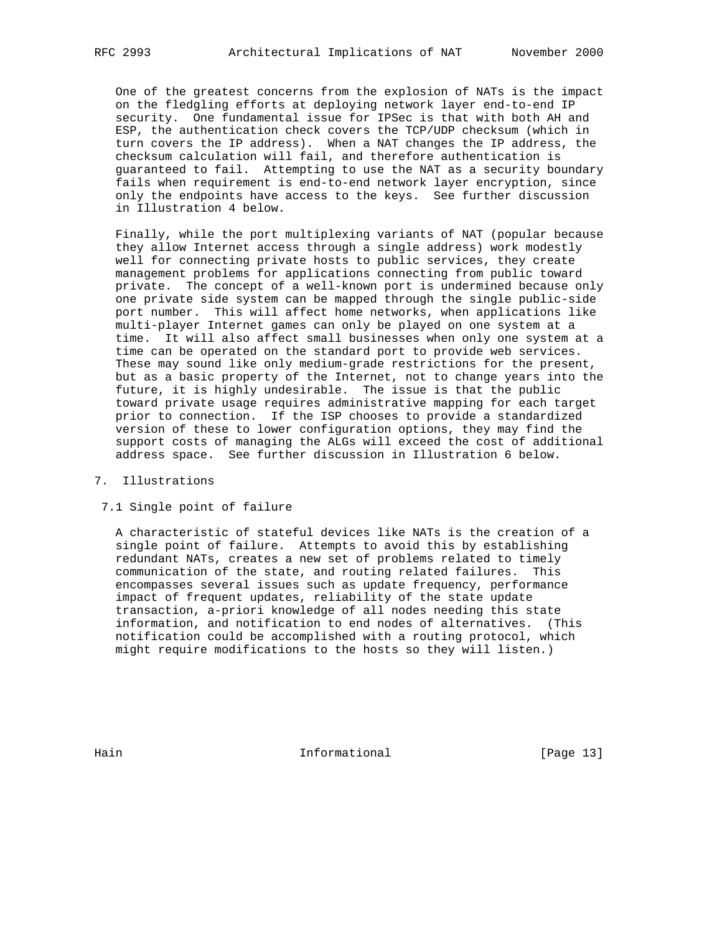One of the greatest concerns from the explosion of NATs is the impact on the fledgling efforts at deploying network layer end-to-end IP security. One fundamental issue for IPSec is that with both AH and ESP, the authentication check covers the TCP/UDP checksum (which in turn covers the IP address). When a NAT changes the IP address, the checksum calculation will fail, and therefore authentication is guaranteed to fail. Attempting to use the NAT as a security boundary fails when requirement is end-to-end network layer encryption, since only the endpoints have access to the keys. See further discussion in Illustration 4 below.

 Finally, while the port multiplexing variants of NAT (popular because they allow Internet access through a single address) work modestly well for connecting private hosts to public services, they create management problems for applications connecting from public toward private. The concept of a well-known port is undermined because only one private side system can be mapped through the single public-side port number. This will affect home networks, when applications like multi-player Internet games can only be played on one system at a time. It will also affect small businesses when only one system at a time can be operated on the standard port to provide web services. These may sound like only medium-grade restrictions for the present, but as a basic property of the Internet, not to change years into the future, it is highly undesirable. The issue is that the public toward private usage requires administrative mapping for each target prior to connection. If the ISP chooses to provide a standardized version of these to lower configuration options, they may find the support costs of managing the ALGs will exceed the cost of additional address space. See further discussion in Illustration 6 below.

# 7. Illustrations

# 7.1 Single point of failure

 A characteristic of stateful devices like NATs is the creation of a single point of failure. Attempts to avoid this by establishing redundant NATs, creates a new set of problems related to timely communication of the state, and routing related failures. This encompasses several issues such as update frequency, performance impact of frequent updates, reliability of the state update transaction, a-priori knowledge of all nodes needing this state information, and notification to end nodes of alternatives. (This notification could be accomplished with a routing protocol, which might require modifications to the hosts so they will listen.)

Hain **Informational Informational** [Page 13]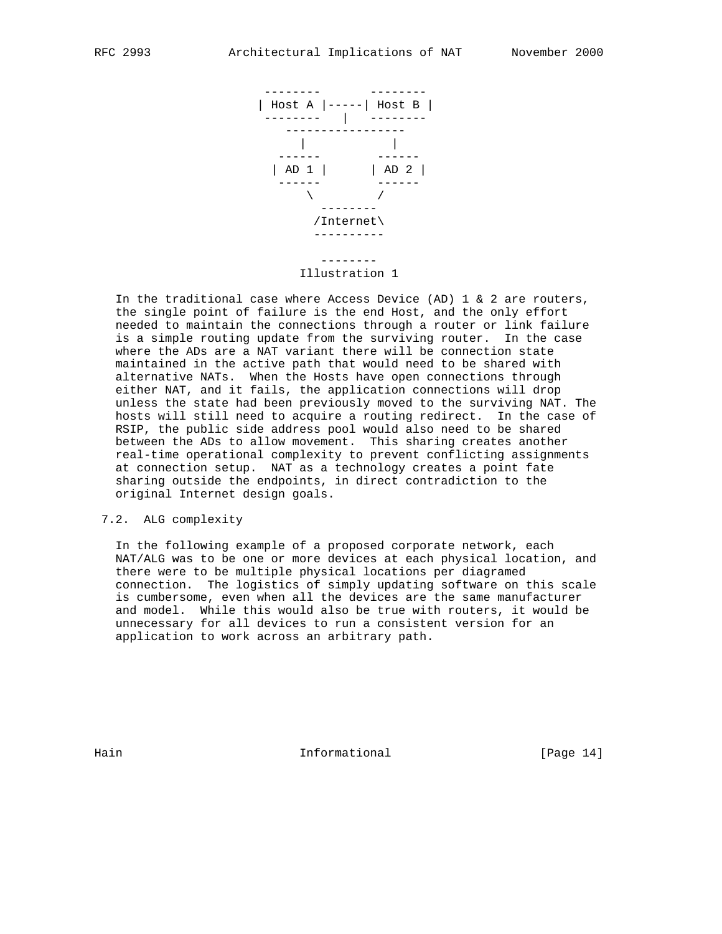

Illustration 1

In the traditional case where Access Device (AD)  $1 \& 2$  are routers, the single point of failure is the end Host, and the only effort needed to maintain the connections through a router or link failure is a simple routing update from the surviving router. In the case where the ADs are a NAT variant there will be connection state maintained in the active path that would need to be shared with alternative NATs. When the Hosts have open connections through either NAT, and it fails, the application connections will drop unless the state had been previously moved to the surviving NAT. The hosts will still need to acquire a routing redirect. In the case of RSIP, the public side address pool would also need to be shared between the ADs to allow movement. This sharing creates another real-time operational complexity to prevent conflicting assignments at connection setup. NAT as a technology creates a point fate sharing outside the endpoints, in direct contradiction to the original Internet design goals.

## 7.2. ALG complexity

 In the following example of a proposed corporate network, each NAT/ALG was to be one or more devices at each physical location, and there were to be multiple physical locations per diagramed connection. The logistics of simply updating software on this scale is cumbersome, even when all the devices are the same manufacturer and model. While this would also be true with routers, it would be unnecessary for all devices to run a consistent version for an application to work across an arbitrary path.

Hain **Informational Informational** [Page 14]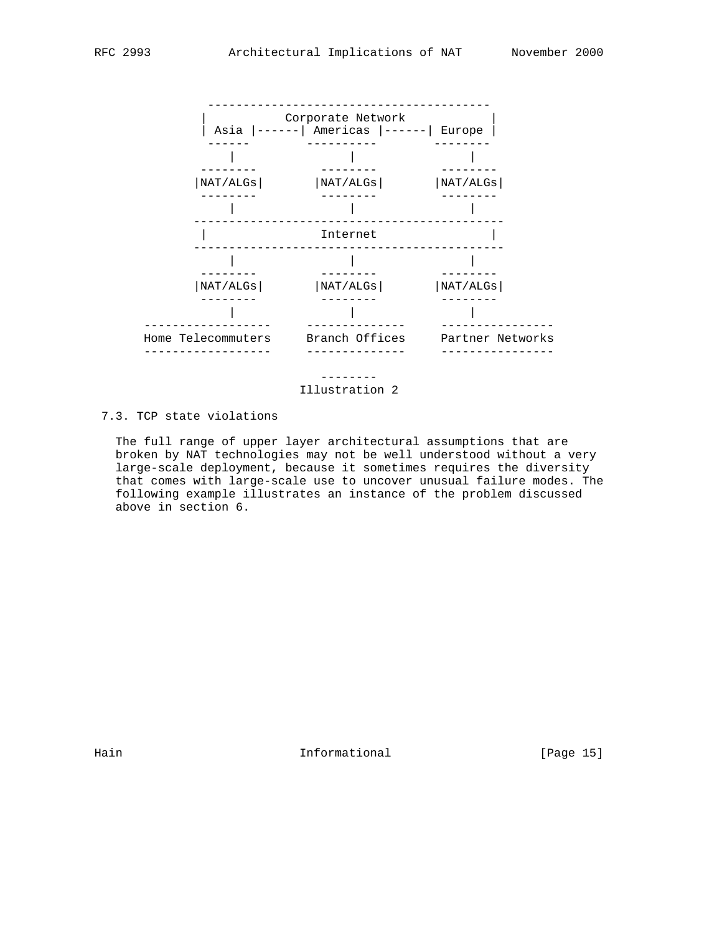

Illustration 2

# 7.3. TCP state violations

 The full range of upper layer architectural assumptions that are broken by NAT technologies may not be well understood without a very large-scale deployment, because it sometimes requires the diversity that comes with large-scale use to uncover unusual failure modes. The following example illustrates an instance of the problem discussed above in section 6.

Hain **Informational Informational** [Page 15]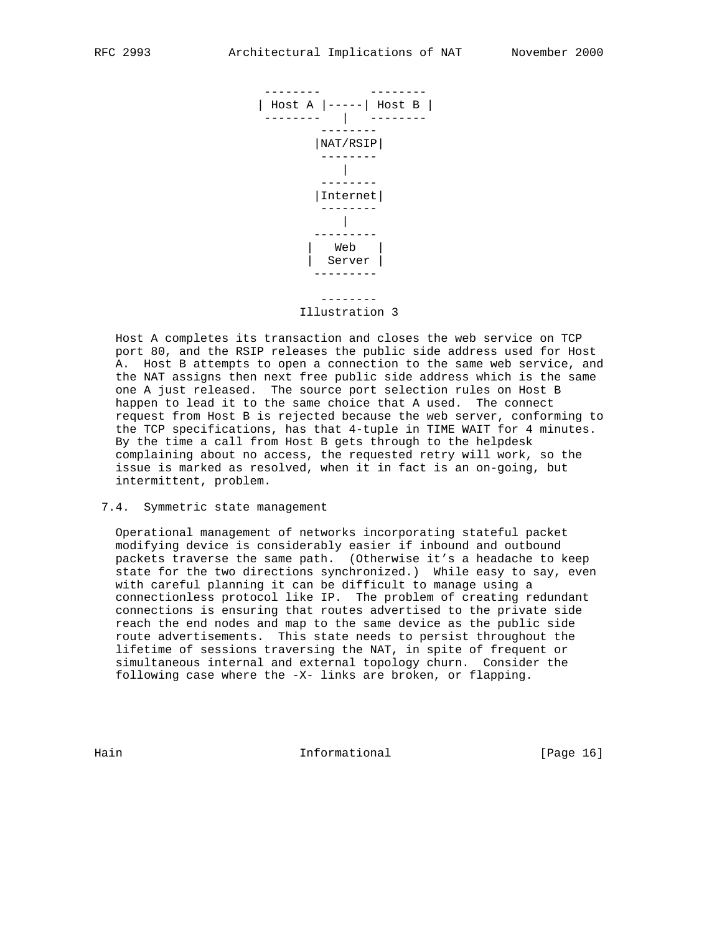

 Host A completes its transaction and closes the web service on TCP port 80, and the RSIP releases the public side address used for Host A. Host B attempts to open a connection to the same web service, and the NAT assigns then next free public side address which is the same one A just released. The source port selection rules on Host B happen to lead it to the same choice that A used. The connect request from Host B is rejected because the web server, conforming to the TCP specifications, has that 4-tuple in TIME WAIT for 4 minutes. By the time a call from Host B gets through to the helpdesk complaining about no access, the requested retry will work, so the issue is marked as resolved, when it in fact is an on-going, but intermittent, problem.

#### 7.4. Symmetric state management

 Operational management of networks incorporating stateful packet modifying device is considerably easier if inbound and outbound packets traverse the same path. (Otherwise it's a headache to keep state for the two directions synchronized.) While easy to say, even with careful planning it can be difficult to manage using a connectionless protocol like IP. The problem of creating redundant connections is ensuring that routes advertised to the private side reach the end nodes and map to the same device as the public side route advertisements. This state needs to persist throughout the lifetime of sessions traversing the NAT, in spite of frequent or simultaneous internal and external topology churn. Consider the following case where the -X- links are broken, or flapping.

Hain **Informational Informational** [Page 16]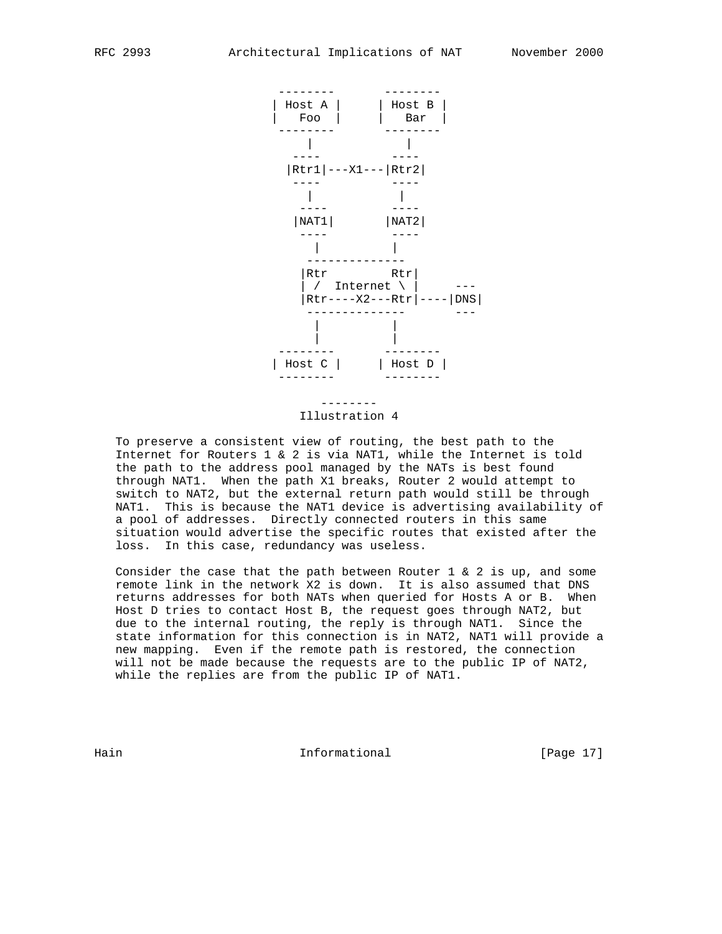

# Illustration 4

 To preserve a consistent view of routing, the best path to the Internet for Routers 1 & 2 is via NAT1, while the Internet is told the path to the address pool managed by the NATs is best found through NAT1. When the path X1 breaks, Router 2 would attempt to switch to NAT2, but the external return path would still be through NAT1. This is because the NAT1 device is advertising availability of a pool of addresses. Directly connected routers in this same situation would advertise the specific routes that existed after the loss. In this case, redundancy was useless.

Consider the case that the path between Router 1  $\&$  2 is up, and some remote link in the network X2 is down. It is also assumed that DNS returns addresses for both NATs when queried for Hosts A or B. When Host D tries to contact Host B, the request goes through NAT2, but due to the internal routing, the reply is through NAT1. Since the state information for this connection is in NAT2, NAT1 will provide a new mapping. Even if the remote path is restored, the connection will not be made because the requests are to the public IP of NAT2, while the replies are from the public IP of NAT1.

Hain **Informational Informational** [Page 17]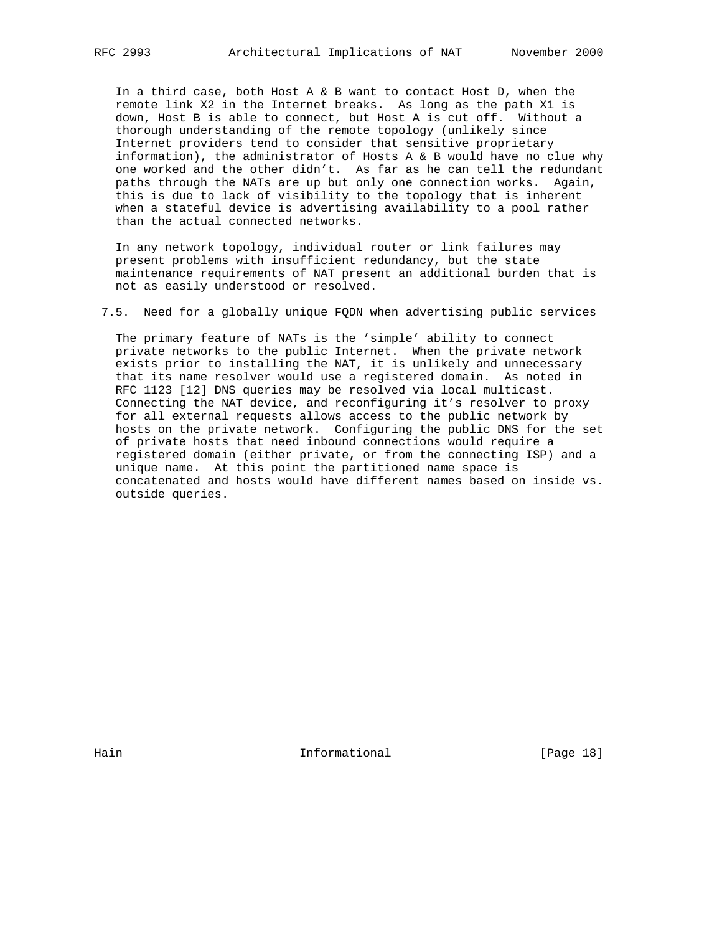In a third case, both Host A & B want to contact Host D, when the remote link X2 in the Internet breaks. As long as the path X1 is down, Host B is able to connect, but Host A is cut off. Without a thorough understanding of the remote topology (unlikely since Internet providers tend to consider that sensitive proprietary information), the administrator of Hosts A & B would have no clue why one worked and the other didn't. As far as he can tell the redundant paths through the NATs are up but only one connection works. Again, this is due to lack of visibility to the topology that is inherent when a stateful device is advertising availability to a pool rather than the actual connected networks.

 In any network topology, individual router or link failures may present problems with insufficient redundancy, but the state maintenance requirements of NAT present an additional burden that is not as easily understood or resolved.

7.5. Need for a globally unique FQDN when advertising public services

 The primary feature of NATs is the 'simple' ability to connect private networks to the public Internet. When the private network exists prior to installing the NAT, it is unlikely and unnecessary that its name resolver would use a registered domain. As noted in RFC 1123 [12] DNS queries may be resolved via local multicast. Connecting the NAT device, and reconfiguring it's resolver to proxy for all external requests allows access to the public network by hosts on the private network. Configuring the public DNS for the set of private hosts that need inbound connections would require a registered domain (either private, or from the connecting ISP) and a unique name. At this point the partitioned name space is concatenated and hosts would have different names based on inside vs. outside queries.

Hain **Informational Informational** [Page 18]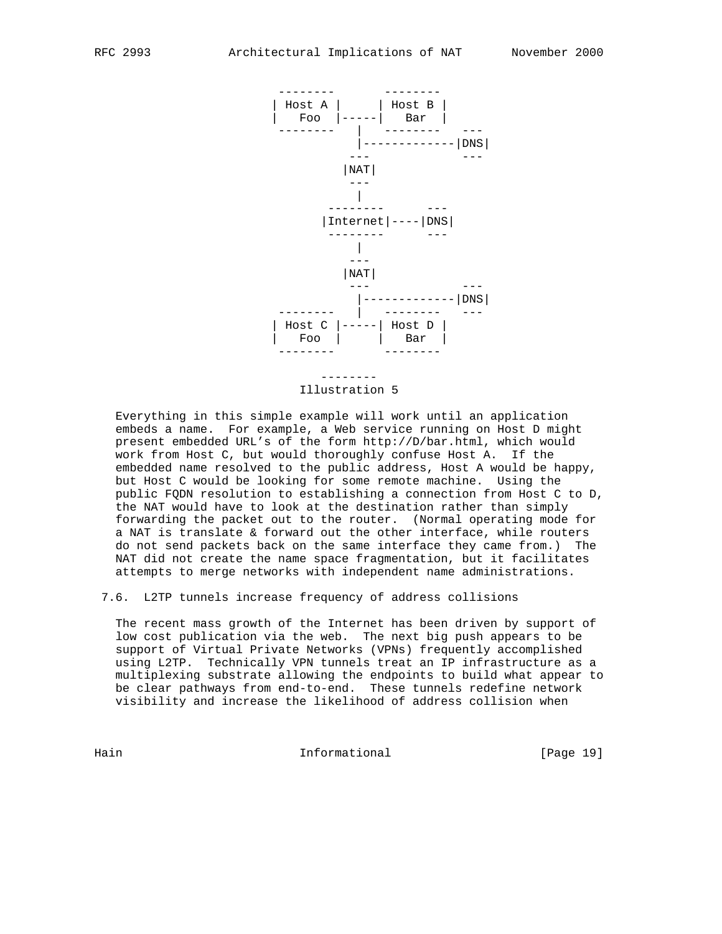

#### Illustration 5

 Everything in this simple example will work until an application embeds a name. For example, a Web service running on Host D might present embedded URL's of the form http://D/bar.html, which would work from Host C, but would thoroughly confuse Host A. If the embedded name resolved to the public address, Host A would be happy, but Host C would be looking for some remote machine. Using the public FQDN resolution to establishing a connection from Host C to D, the NAT would have to look at the destination rather than simply forwarding the packet out to the router. (Normal operating mode for a NAT is translate & forward out the other interface, while routers do not send packets back on the same interface they came from.) The NAT did not create the name space fragmentation, but it facilitates attempts to merge networks with independent name administrations.

7.6. L2TP tunnels increase frequency of address collisions

 The recent mass growth of the Internet has been driven by support of low cost publication via the web. The next big push appears to be support of Virtual Private Networks (VPNs) frequently accomplished using L2TP. Technically VPN tunnels treat an IP infrastructure as a multiplexing substrate allowing the endpoints to build what appear to be clear pathways from end-to-end. These tunnels redefine network visibility and increase the likelihood of address collision when

Hain **Informational Informational** [Page 19]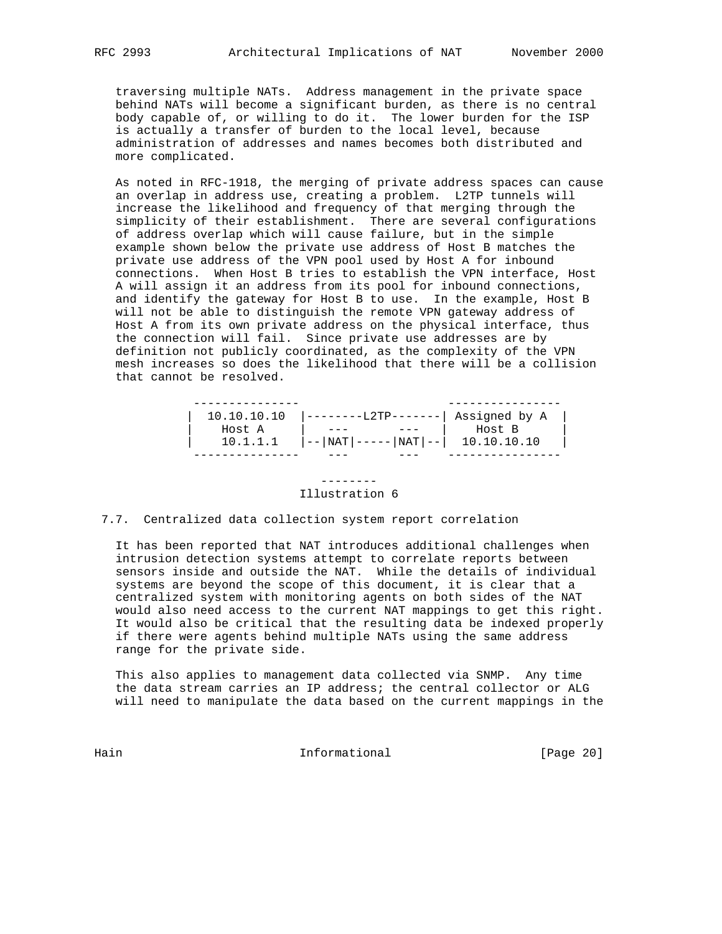traversing multiple NATs. Address management in the private space behind NATs will become a significant burden, as there is no central body capable of, or willing to do it. The lower burden for the ISP is actually a transfer of burden to the local level, because administration of addresses and names becomes both distributed and more complicated.

 As noted in RFC-1918, the merging of private address spaces can cause an overlap in address use, creating a problem. L2TP tunnels will increase the likelihood and frequency of that merging through the simplicity of their establishment. There are several configurations of address overlap which will cause failure, but in the simple example shown below the private use address of Host B matches the private use address of the VPN pool used by Host A for inbound connections. When Host B tries to establish the VPN interface, Host A will assign it an address from its pool for inbound connections, and identify the gateway for Host B to use. In the example, Host B will not be able to distinguish the remote VPN gateway address of Host A from its own private address on the physical interface, thus the connection will fail. Since private use addresses are by definition not publicly coordinated, as the complexity of the VPN mesh increases so does the likelihood that there will be a collision that cannot be resolved.

| 10.10.10.10 |  | $\vert$ --------L2TP-------  Assigned by A                                                |  |
|-------------|--|-------------------------------------------------------------------------------------------|--|
| Host A      |  | Host B                                                                                    |  |
| 10.1.1.1    |  | $\vert - - \vert \text{NAT} \vert - - - - - \vert \text{NAT} \vert - - \vert$ 10.10.10.10 |  |
|             |  |                                                                                           |  |

#### --------

# Illustration 6

# 7.7. Centralized data collection system report correlation

 It has been reported that NAT introduces additional challenges when intrusion detection systems attempt to correlate reports between sensors inside and outside the NAT. While the details of individual systems are beyond the scope of this document, it is clear that a centralized system with monitoring agents on both sides of the NAT would also need access to the current NAT mappings to get this right. It would also be critical that the resulting data be indexed properly if there were agents behind multiple NATs using the same address range for the private side.

 This also applies to management data collected via SNMP. Any time the data stream carries an IP address; the central collector or ALG will need to manipulate the data based on the current mappings in the

Hain Informational [Page 20]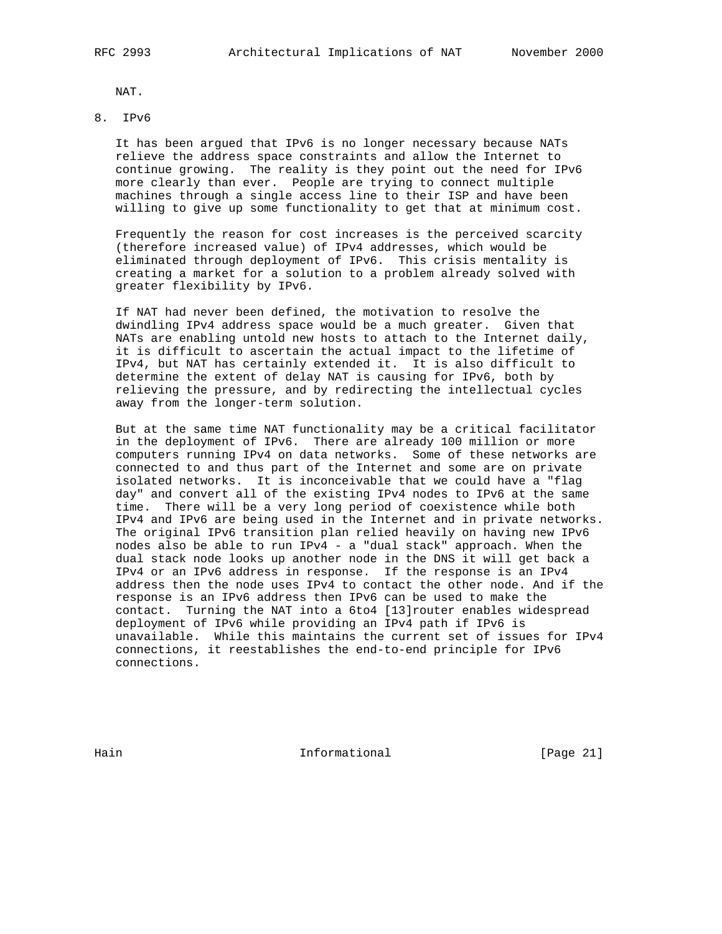NAT.

# 8. IPv6

 It has been argued that IPv6 is no longer necessary because NATs relieve the address space constraints and allow the Internet to continue growing. The reality is they point out the need for IPv6 more clearly than ever. People are trying to connect multiple machines through a single access line to their ISP and have been willing to give up some functionality to get that at minimum cost.

 Frequently the reason for cost increases is the perceived scarcity (therefore increased value) of IPv4 addresses, which would be eliminated through deployment of IPv6. This crisis mentality is creating a market for a solution to a problem already solved with greater flexibility by IPv6.

 If NAT had never been defined, the motivation to resolve the dwindling IPv4 address space would be a much greater. Given that NATs are enabling untold new hosts to attach to the Internet daily, it is difficult to ascertain the actual impact to the lifetime of IPv4, but NAT has certainly extended it. It is also difficult to determine the extent of delay NAT is causing for IPv6, both by relieving the pressure, and by redirecting the intellectual cycles away from the longer-term solution.

 But at the same time NAT functionality may be a critical facilitator in the deployment of IPv6. There are already 100 million or more computers running IPv4 on data networks. Some of these networks are connected to and thus part of the Internet and some are on private isolated networks. It is inconceivable that we could have a "flag day" and convert all of the existing IPv4 nodes to IPv6 at the same time. There will be a very long period of coexistence while both IPv4 and IPv6 are being used in the Internet and in private networks. The original IPv6 transition plan relied heavily on having new IPv6 nodes also be able to run IPv4 - a "dual stack" approach. When the dual stack node looks up another node in the DNS it will get back a IPv4 or an IPv6 address in response. If the response is an IPv4 address then the node uses IPv4 to contact the other node. And if the response is an IPv6 address then IPv6 can be used to make the contact. Turning the NAT into a 6to4 [13]router enables widespread deployment of IPv6 while providing an IPv4 path if IPv6 is unavailable. While this maintains the current set of issues for IPv4 connections, it reestablishes the end-to-end principle for IPv6 connections.

Hain **Informational Informational** [Page 21]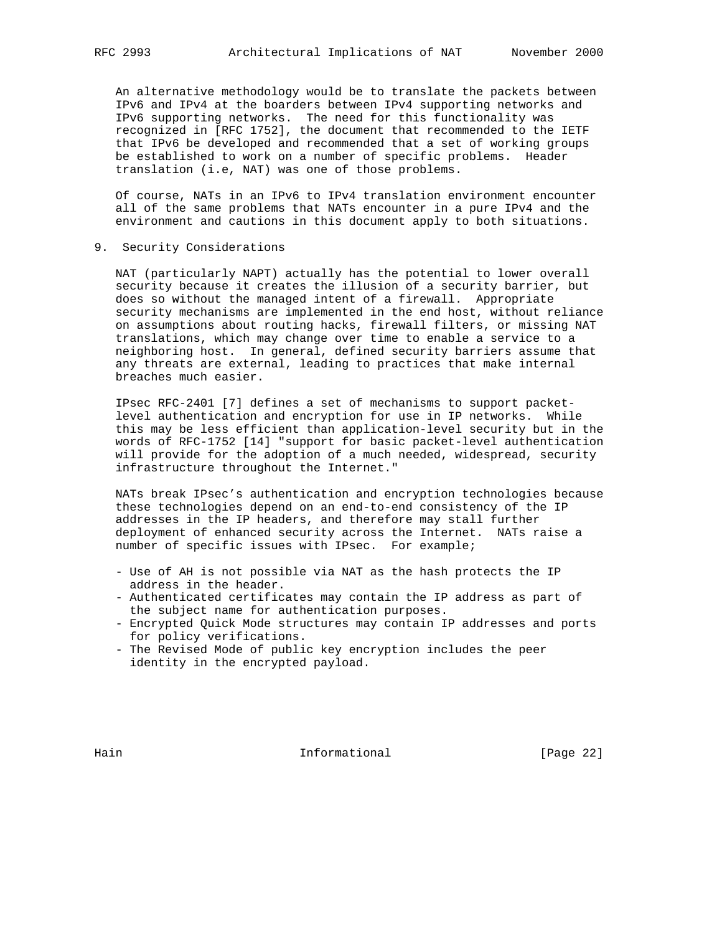An alternative methodology would be to translate the packets between IPv6 and IPv4 at the boarders between IPv4 supporting networks and IPv6 supporting networks. The need for this functionality was recognized in [RFC 1752], the document that recommended to the IETF that IPv6 be developed and recommended that a set of working groups be established to work on a number of specific problems. Header translation (i.e, NAT) was one of those problems.

 Of course, NATs in an IPv6 to IPv4 translation environment encounter all of the same problems that NATs encounter in a pure IPv4 and the environment and cautions in this document apply to both situations.

9. Security Considerations

 NAT (particularly NAPT) actually has the potential to lower overall security because it creates the illusion of a security barrier, but does so without the managed intent of a firewall. Appropriate security mechanisms are implemented in the end host, without reliance on assumptions about routing hacks, firewall filters, or missing NAT translations, which may change over time to enable a service to a neighboring host. In general, defined security barriers assume that any threats are external, leading to practices that make internal breaches much easier.

 IPsec RFC-2401 [7] defines a set of mechanisms to support packet level authentication and encryption for use in IP networks. While this may be less efficient than application-level security but in the words of RFC-1752 [14] "support for basic packet-level authentication will provide for the adoption of a much needed, widespread, security infrastructure throughout the Internet."

 NATs break IPsec's authentication and encryption technologies because these technologies depend on an end-to-end consistency of the IP addresses in the IP headers, and therefore may stall further deployment of enhanced security across the Internet. NATs raise a number of specific issues with IPsec. For example;

- Use of AH is not possible via NAT as the hash protects the IP address in the header.
- Authenticated certificates may contain the IP address as part of the subject name for authentication purposes.
- Encrypted Quick Mode structures may contain IP addresses and ports for policy verifications.
- The Revised Mode of public key encryption includes the peer identity in the encrypted payload.

Hain **Informational Informational** [Page 22]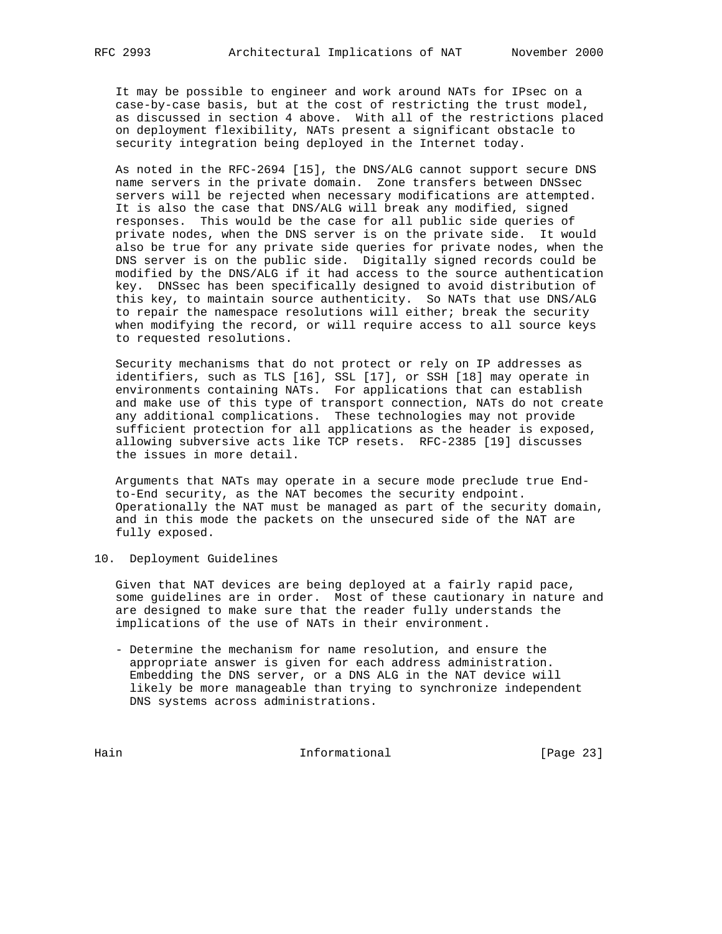It may be possible to engineer and work around NATs for IPsec on a case-by-case basis, but at the cost of restricting the trust model, as discussed in section 4 above. With all of the restrictions placed on deployment flexibility, NATs present a significant obstacle to security integration being deployed in the Internet today.

 As noted in the RFC-2694 [15], the DNS/ALG cannot support secure DNS name servers in the private domain. Zone transfers between DNSsec servers will be rejected when necessary modifications are attempted. It is also the case that DNS/ALG will break any modified, signed responses. This would be the case for all public side queries of private nodes, when the DNS server is on the private side. It would also be true for any private side queries for private nodes, when the DNS server is on the public side. Digitally signed records could be modified by the DNS/ALG if it had access to the source authentication key. DNSsec has been specifically designed to avoid distribution of this key, to maintain source authenticity. So NATs that use DNS/ALG to repair the namespace resolutions will either; break the security when modifying the record, or will require access to all source keys to requested resolutions.

 Security mechanisms that do not protect or rely on IP addresses as identifiers, such as TLS [16], SSL [17], or SSH [18] may operate in environments containing NATs. For applications that can establish and make use of this type of transport connection, NATs do not create any additional complications. These technologies may not provide sufficient protection for all applications as the header is exposed, allowing subversive acts like TCP resets. RFC-2385 [19] discusses the issues in more detail.

 Arguments that NATs may operate in a secure mode preclude true End to-End security, as the NAT becomes the security endpoint. Operationally the NAT must be managed as part of the security domain, and in this mode the packets on the unsecured side of the NAT are fully exposed.

# 10. Deployment Guidelines

 Given that NAT devices are being deployed at a fairly rapid pace, some guidelines are in order. Most of these cautionary in nature and are designed to make sure that the reader fully understands the implications of the use of NATs in their environment.

 - Determine the mechanism for name resolution, and ensure the appropriate answer is given for each address administration. Embedding the DNS server, or a DNS ALG in the NAT device will likely be more manageable than trying to synchronize independent DNS systems across administrations.

Hain Informational [Page 23]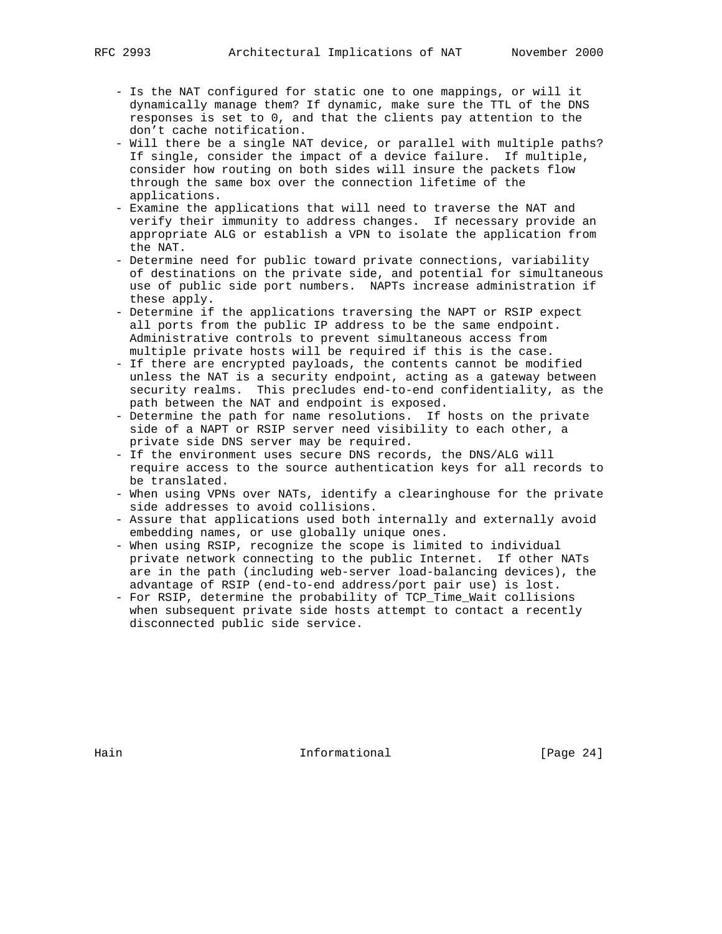- Is the NAT configured for static one to one mappings, or will it dynamically manage them? If dynamic, make sure the TTL of the DNS responses is set to 0, and that the clients pay attention to the don't cache notification.
- Will there be a single NAT device, or parallel with multiple paths? If single, consider the impact of a device failure. If multiple, consider how routing on both sides will insure the packets flow through the same box over the connection lifetime of the applications.
- Examine the applications that will need to traverse the NAT and verify their immunity to address changes. If necessary provide an appropriate ALG or establish a VPN to isolate the application from the NAT.
- Determine need for public toward private connections, variability of destinations on the private side, and potential for simultaneous use of public side port numbers. NAPTs increase administration if these apply.
- Determine if the applications traversing the NAPT or RSIP expect all ports from the public IP address to be the same endpoint. Administrative controls to prevent simultaneous access from multiple private hosts will be required if this is the case.
- If there are encrypted payloads, the contents cannot be modified unless the NAT is a security endpoint, acting as a gateway between security realms. This precludes end-to-end confidentiality, as the path between the NAT and endpoint is exposed.
- Determine the path for name resolutions. If hosts on the private side of a NAPT or RSIP server need visibility to each other, a private side DNS server may be required.
- If the environment uses secure DNS records, the DNS/ALG will require access to the source authentication keys for all records to be translated.
- When using VPNs over NATs, identify a clearinghouse for the private side addresses to avoid collisions.
- Assure that applications used both internally and externally avoid embedding names, or use globally unique ones.
- When using RSIP, recognize the scope is limited to individual private network connecting to the public Internet. If other NATs are in the path (including web-server load-balancing devices), the advantage of RSIP (end-to-end address/port pair use) is lost.
- For RSIP, determine the probability of TCP\_Time\_Wait collisions when subsequent private side hosts attempt to contact a recently disconnected public side service.

Hain **Informational Informational** [Page 24]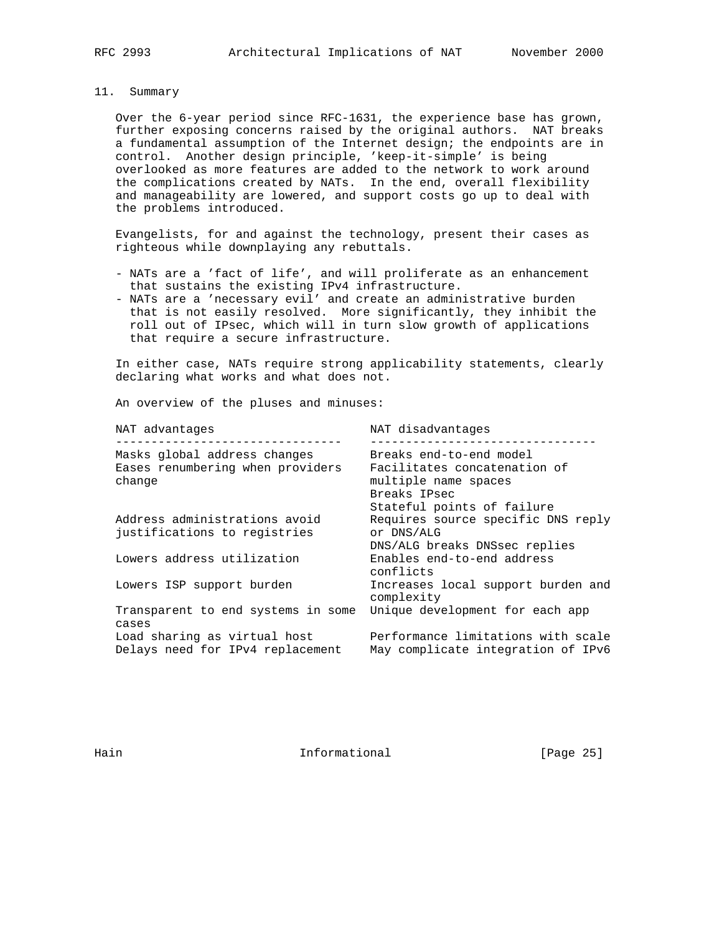11. Summary

 Over the 6-year period since RFC-1631, the experience base has grown, further exposing concerns raised by the original authors. NAT breaks a fundamental assumption of the Internet design; the endpoints are in control. Another design principle, 'keep-it-simple' is being overlooked as more features are added to the network to work around the complications created by NATs. In the end, overall flexibility and manageability are lowered, and support costs go up to deal with the problems introduced.

 Evangelists, for and against the technology, present their cases as righteous while downplaying any rebuttals.

- NATs are a 'fact of life', and will proliferate as an enhancement that sustains the existing IPv4 infrastructure.
- NATs are a 'necessary evil' and create an administrative burden that is not easily resolved. More significantly, they inhibit the roll out of IPsec, which will in turn slow growth of applications that require a secure infrastructure.

 In either case, NATs require strong applicability statements, clearly declaring what works and what does not.

An overview of the pluses and minuses:

| NAT advantages                                                   | NAT disadvantages                                                        |
|------------------------------------------------------------------|--------------------------------------------------------------------------|
| Masks global address changes                                     | Breaks end-to-end model                                                  |
| Eases renumbering when providers<br>change                       | Facilitates concatenation of<br>multiple name spaces<br>Breaks IPsec     |
|                                                                  | Stateful points of failure                                               |
| Address administrations avoid                                    | Requires source specific DNS reply                                       |
| justifications to registries                                     | or DNS/ALG                                                               |
|                                                                  | DNS/ALG breaks DNSsec replies                                            |
| Lowers address utilization                                       | Enables end-to-end address<br>conflicts                                  |
| Lowers ISP support burden                                        | Increases local support burden and<br>complexity                         |
| Transparent to end systems in some                               | Unique development for each app                                          |
| cases                                                            |                                                                          |
| Load sharing as virtual host<br>Delays need for IPv4 replacement | Performance limitations with scale<br>May complicate integration of IPv6 |
|                                                                  |                                                                          |

Hain **Informational Informational** [Page 25]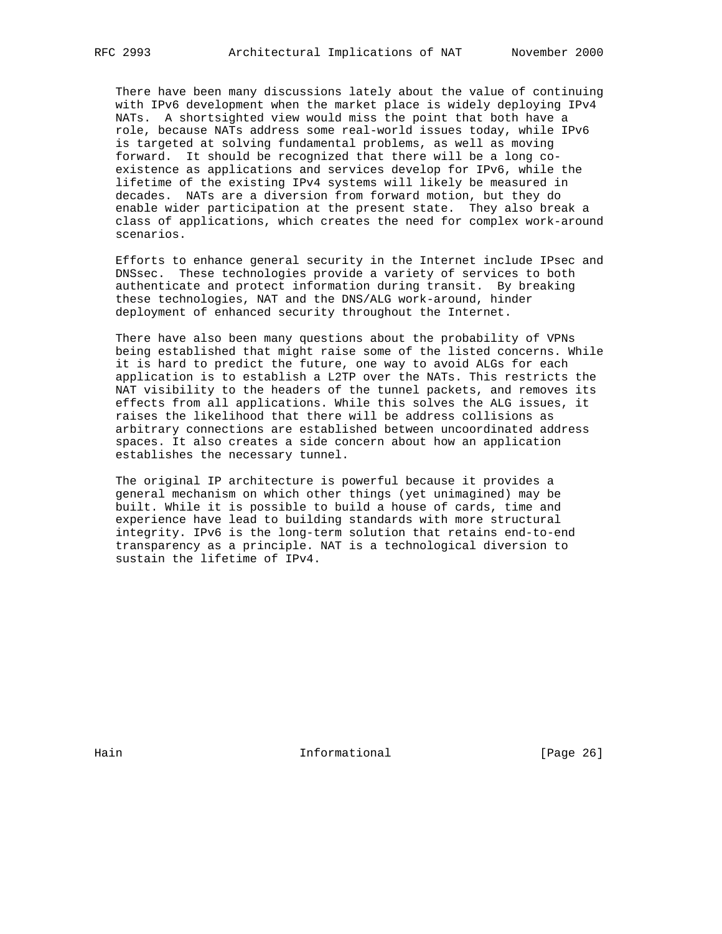There have been many discussions lately about the value of continuing with IPv6 development when the market place is widely deploying IPv4 NATs. A shortsighted view would miss the point that both have a role, because NATs address some real-world issues today, while IPv6 is targeted at solving fundamental problems, as well as moving forward. It should be recognized that there will be a long co existence as applications and services develop for IPv6, while the lifetime of the existing IPv4 systems will likely be measured in decades. NATs are a diversion from forward motion, but they do enable wider participation at the present state. They also break a class of applications, which creates the need for complex work-around scenarios.

 Efforts to enhance general security in the Internet include IPsec and DNSsec. These technologies provide a variety of services to both authenticate and protect information during transit. By breaking these technologies, NAT and the DNS/ALG work-around, hinder deployment of enhanced security throughout the Internet.

 There have also been many questions about the probability of VPNs being established that might raise some of the listed concerns. While it is hard to predict the future, one way to avoid ALGs for each application is to establish a L2TP over the NATs. This restricts the NAT visibility to the headers of the tunnel packets, and removes its effects from all applications. While this solves the ALG issues, it raises the likelihood that there will be address collisions as arbitrary connections are established between uncoordinated address spaces. It also creates a side concern about how an application establishes the necessary tunnel.

 The original IP architecture is powerful because it provides a general mechanism on which other things (yet unimagined) may be built. While it is possible to build a house of cards, time and experience have lead to building standards with more structural integrity. IPv6 is the long-term solution that retains end-to-end transparency as a principle. NAT is a technological diversion to sustain the lifetime of IPv4.

Hain **Informational Informational** [Page 26]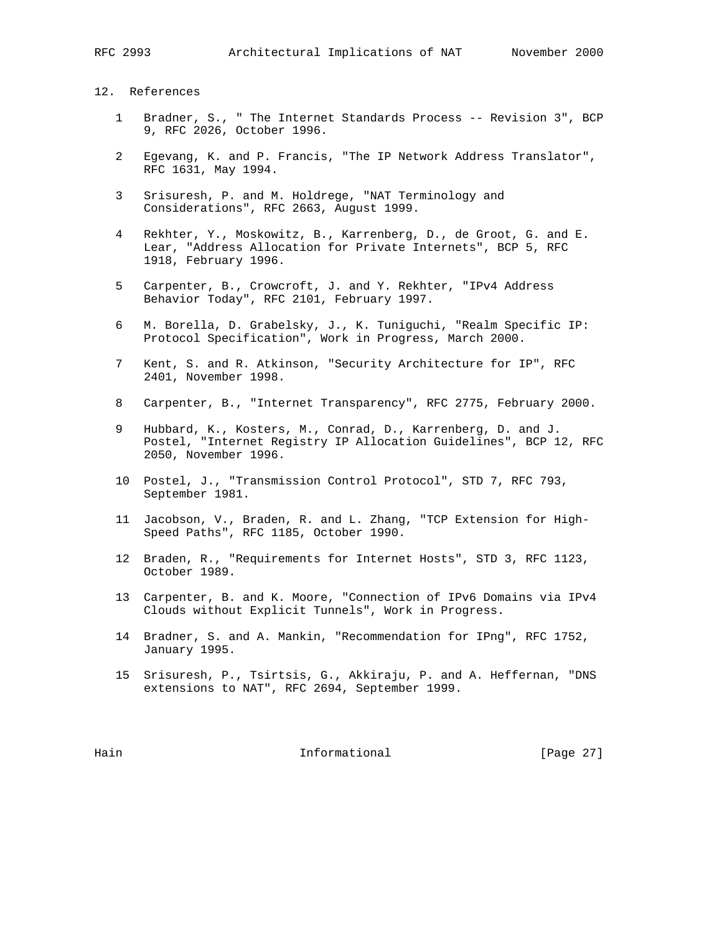# 12. References

- 1 Bradner, S., " The Internet Standards Process -- Revision 3", BCP 9, RFC 2026, October 1996.
- 2 Egevang, K. and P. Francis, "The IP Network Address Translator", RFC 1631, May 1994.
- 3 Srisuresh, P. and M. Holdrege, "NAT Terminology and Considerations", RFC 2663, August 1999.
- 4 Rekhter, Y., Moskowitz, B., Karrenberg, D., de Groot, G. and E. Lear, "Address Allocation for Private Internets", BCP 5, RFC 1918, February 1996.
- 5 Carpenter, B., Crowcroft, J. and Y. Rekhter, "IPv4 Address Behavior Today", RFC 2101, February 1997.
- 6 M. Borella, D. Grabelsky, J., K. Tuniguchi, "Realm Specific IP: Protocol Specification", Work in Progress, March 2000.
- 7 Kent, S. and R. Atkinson, "Security Architecture for IP", RFC 2401, November 1998.
- 8 Carpenter, B., "Internet Transparency", RFC 2775, February 2000.
- 9 Hubbard, K., Kosters, M., Conrad, D., Karrenberg, D. and J. Postel, "Internet Registry IP Allocation Guidelines", BCP 12, RFC 2050, November 1996.
- 10 Postel, J., "Transmission Control Protocol", STD 7, RFC 793, September 1981.
- 11 Jacobson, V., Braden, R. and L. Zhang, "TCP Extension for High- Speed Paths", RFC 1185, October 1990.
- 12 Braden, R., "Requirements for Internet Hosts", STD 3, RFC 1123, October 1989.
- 13 Carpenter, B. and K. Moore, "Connection of IPv6 Domains via IPv4 Clouds without Explicit Tunnels", Work in Progress.
- 14 Bradner, S. and A. Mankin, "Recommendation for IPng", RFC 1752, January 1995.
- 15 Srisuresh, P., Tsirtsis, G., Akkiraju, P. and A. Heffernan, "DNS extensions to NAT", RFC 2694, September 1999.

Hain **Informational Informational** [Page 27]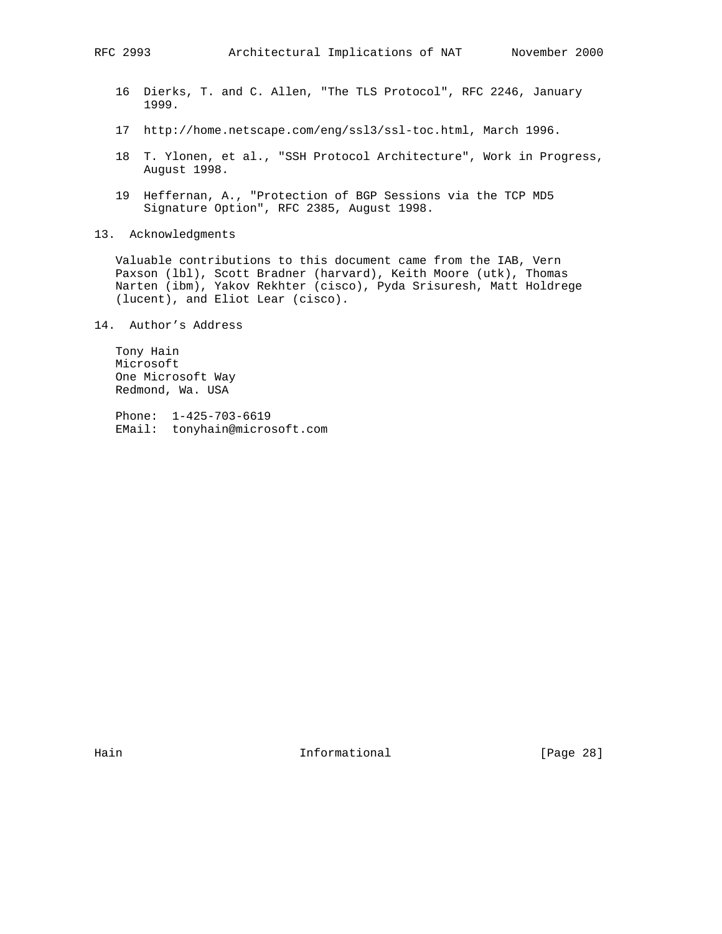- 16 Dierks, T. and C. Allen, "The TLS Protocol", RFC 2246, January 1999.
- 17 http://home.netscape.com/eng/ssl3/ssl-toc.html, March 1996.
- 18 T. Ylonen, et al., "SSH Protocol Architecture", Work in Progress, August 1998.
- 19 Heffernan, A., "Protection of BGP Sessions via the TCP MD5 Signature Option", RFC 2385, August 1998.
- 13. Acknowledgments

 Valuable contributions to this document came from the IAB, Vern Paxson (lbl), Scott Bradner (harvard), Keith Moore (utk), Thomas Narten (ibm), Yakov Rekhter (cisco), Pyda Srisuresh, Matt Holdrege (lucent), and Eliot Lear (cisco).

14. Author's Address

 Tony Hain Microsoft One Microsoft Way Redmond, Wa. USA

 Phone: 1-425-703-6619 EMail: tonyhain@microsoft.com

Hain **Informational Informational** [Page 28]